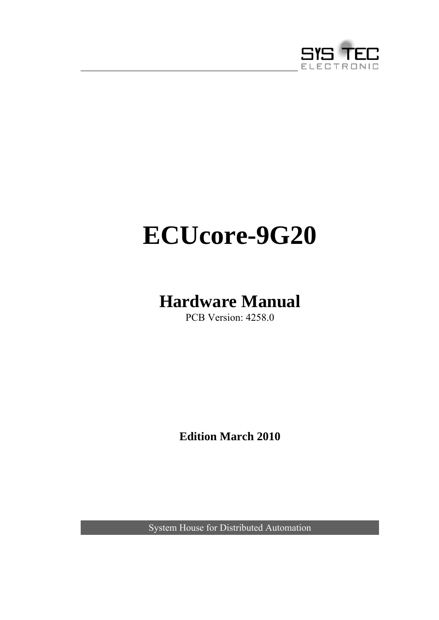

# **ECUcore-9G20**

# <span id="page-0-0"></span>**Hardware Manual**

PCB Version: 4258.0

**Edition March 2010** 

System House for Distributed Automation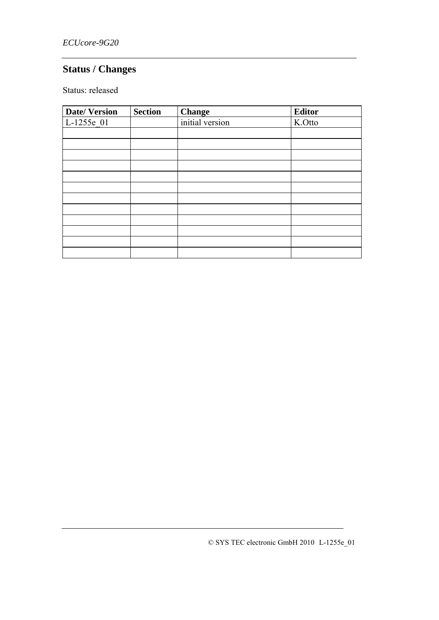# **Status / Changes**

Status: released

| <b>Date/Version</b> | <b>Section</b> | <b>Change</b>   | <b>Editor</b> |
|---------------------|----------------|-----------------|---------------|
| $L-1255e_01$        |                | initial version | K.Otto        |
|                     |                |                 |               |
|                     |                |                 |               |
|                     |                |                 |               |
|                     |                |                 |               |
|                     |                |                 |               |
|                     |                |                 |               |
|                     |                |                 |               |
|                     |                |                 |               |
|                     |                |                 |               |
|                     |                |                 |               |
|                     |                |                 |               |
|                     |                |                 |               |

© SYS TEC electronic GmbH 2010 L-1255e\_01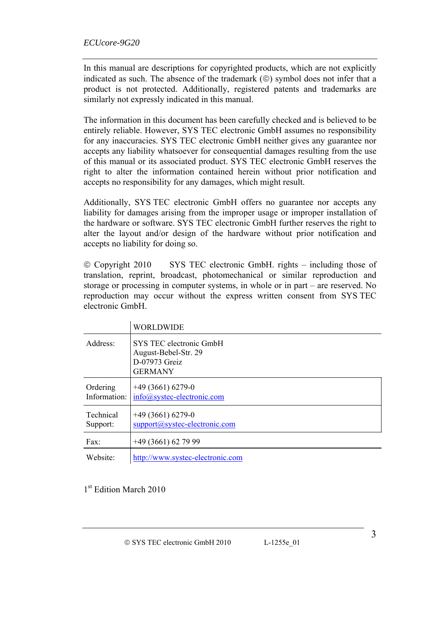In this manual are descriptions for copyrighted products, which are not explicitly indicated as such. The absence of the trademark (©) symbol does not infer that a product is not protected. Additionally, registered patents and trademarks are similarly not expressly indicated in this manual.

The information in this document has been carefully checked and is believed to be entirely reliable. However, SYS TEC electronic GmbH assumes no responsibility for any inaccuracies. SYS TEC electronic GmbH neither gives any guarantee nor accepts any liability whatsoever for consequential damages resulting from the use of this manual or its associated product. SYS TEC electronic GmbH reserves the right to alter the information contained herein without prior notification and accepts no responsibility for any damages, which might result.

Additionally, SYS TEC electronic GmbH offers no guarantee nor accepts any liability for damages arising from the improper usage or improper installation of the hardware or software. SYS TEC electronic GmbH further reserves the right to alter the layout and/or design of the hardware without prior notification and accepts no liability for doing so.

© Copyright 2010 SYS TEC electronic GmbH. rights – including those of translation, reprint, broadcast, photomechanical or similar reproduction and storage or processing in computer systems, in whole or in part – are reserved. No reproduction may occur without the express written consent from SYS TEC electronic GmbH.

|                              | <b>WORLDWIDE</b>                                                                   |
|------------------------------|------------------------------------------------------------------------------------|
| Address:                     | SYS TEC electronic GmbH<br>August-Bebel-Str. 29<br>D-07973 Greiz<br><b>GERMANY</b> |
| Ordering<br>Information:     | $+49(3661)6279-0$<br>info@systec-electronic.com                                    |
| <b>Technical</b><br>Support: | $+49(3661)6279-0$<br>support@systec-electronic.com                                 |
| $\text{Fax}:$                | $+49(3661)627999$                                                                  |
| Website:                     | http://www.systec-electronic.com                                                   |

1<sup>st</sup> Edition March 2010

3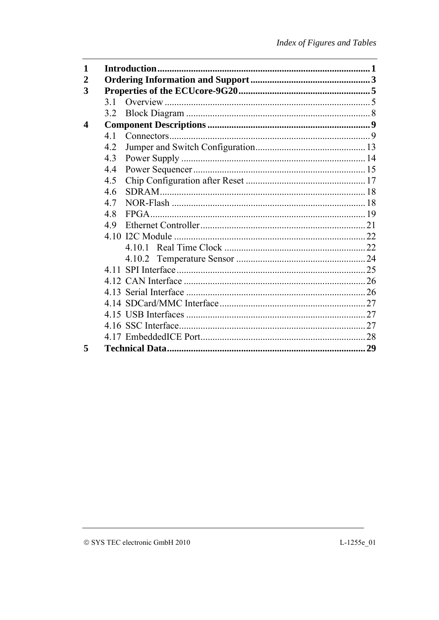| 1                |     |  |
|------------------|-----|--|
| $\overline{2}$   |     |  |
| 3                |     |  |
|                  | 3.1 |  |
|                  | 3.2 |  |
| $\boldsymbol{4}$ |     |  |
|                  | 4.1 |  |
|                  | 4.2 |  |
|                  | 4.3 |  |
|                  | 4.4 |  |
|                  | 4.5 |  |
|                  | 4.6 |  |
|                  | 4.7 |  |
|                  | 4.8 |  |
|                  | 4.9 |  |
|                  |     |  |
|                  |     |  |
|                  |     |  |
|                  |     |  |
|                  |     |  |
|                  |     |  |
|                  |     |  |
|                  |     |  |
|                  |     |  |
|                  |     |  |
| 5                |     |  |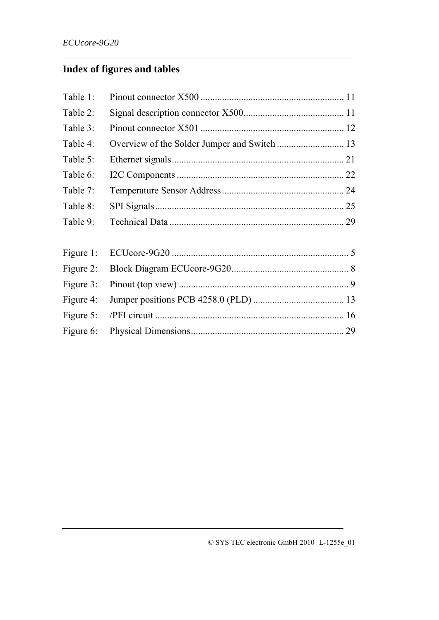# **Index of figures and tables**

| Table 1:  |  |
|-----------|--|
| Table 2:  |  |
| Table 3:  |  |
| Table 4:  |  |
| Table 5:  |  |
| Table 6:  |  |
| Table 7:  |  |
| Table 8:  |  |
| Table 9:  |  |
|           |  |
| Figure 1: |  |
| Figure 2: |  |
| Figure 3: |  |
| Figure 4: |  |
| Figure 5: |  |
| Figure 6: |  |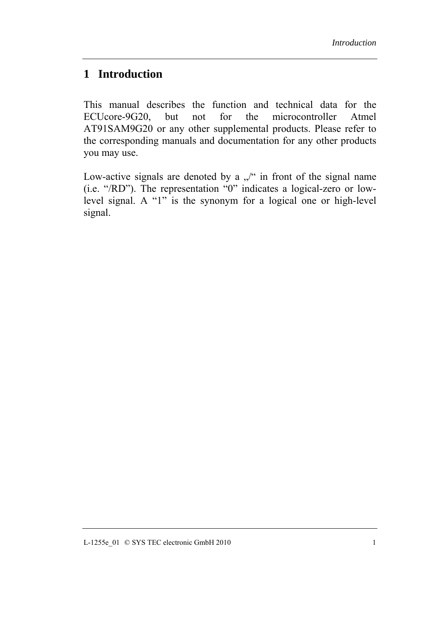### **1 Introduction**

This manual describes the function and technical data for the ECUcore-9G20, but not for the microcontroller Atmel AT91SAM9G20 or any other supplemental products. Please refer to the corresponding manuals and documentation for any other products you may use.

Low-active signals are denoted by a  $\sqrt{ }$  in front of the signal name (i.e. "/RD"). The representation "0" indicates a logical-zero or lowlevel signal. A "1" is the synonym for a logical one or high-level signal.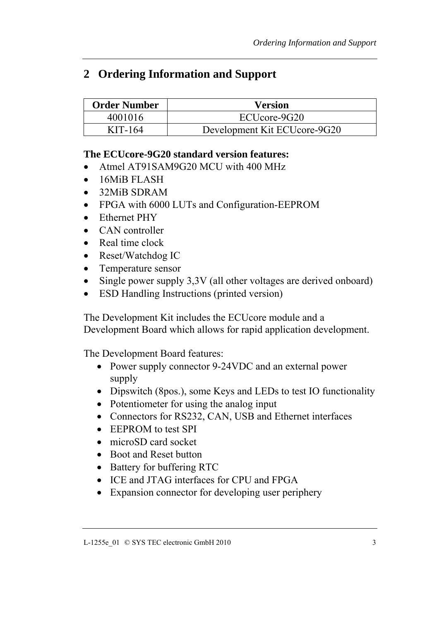# <span id="page-8-0"></span>**2 Ordering Information and Support**

| <b>Order Number</b> | <b>Version</b>               |
|---------------------|------------------------------|
| 4001016             | ECUcore-9G20                 |
| $KIT-164$           | Development Kit ECUcore-9G20 |

#### **The ECUcore-9G20 standard version features:**

- Atmel AT91SAM9G20 MCU with 400 MHz
- 16MiB FLASH
- 32MiB SDRAM
- FPGA with 6000 LUTs and Configuration-EEPROM
- Ethernet PHY
- CAN controller
- Real time clock
- Reset/Watchdog IC
- Temperature sensor
- Single power supply 3,3V (all other voltages are derived onboard)
- ESD Handling Instructions (printed version)

The Development Kit includes the ECUcore module and a Development Board which allows for rapid application development.

The Development Board features:

- Power supply connector 9-24VDC and an external power supply
- Dipswitch (8pos.), some Keys and LEDs to test IO functionality
- Potentiometer for using the analog input
- Connectors for RS232, CAN, USB and Ethernet interfaces
- EEPROM to test SPI
- microSD card socket
- Boot and Reset button
- Battery for buffering RTC
- ICE and JTAG interfaces for CPU and FPGA
- Expansion connector for developing user periphery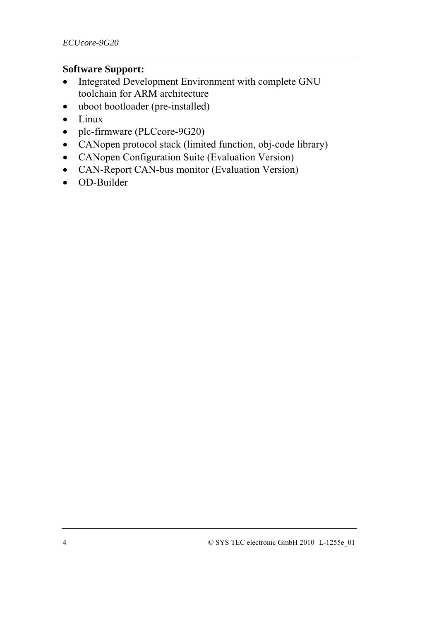#### **Software Support:**

- Integrated Development Environment with complete GNU toolchain for ARM architecture
- uboot bootloader (pre-installed)
- Linux
- plc-firmware (PLCcore-9G20)
- CANopen protocol stack (limited function, obj-code library)
- CANopen Configuration Suite (Evaluation Version)
- CAN-Report CAN-bus monitor (Evaluation Version)
- OD-Builder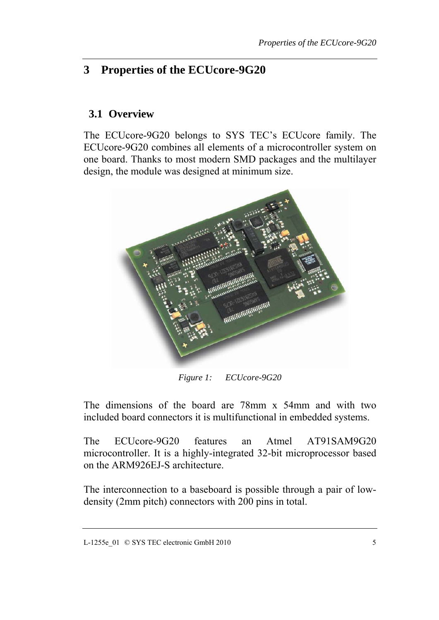# <span id="page-10-0"></span>**3 Properties of the ECUcore-9G20**

#### **3.1 Overview**

The ECUcore-9G20 belongs to SYS TEC's ECUcore family. The ECUcore-9G20 combines all elements of a microcontroller system on one board. Thanks to most modern SMD packages and the multilayer design, the module was designed at minimum size.



*Figure 1: ECUcore-9G20* 

The dimensions of the board are 78mm x 54mm and with two included board connectors it is multifunctional in embedded systems.

The ECUcore-9G20 features an Atmel AT91SAM9G20 microcontroller. It is a highly-integrated 32-bit microprocessor based on the ARM926EJ-S architecture.

The interconnection to a baseboard is possible through a pair of lowdensity (2mm pitch) connectors with 200 pins in total.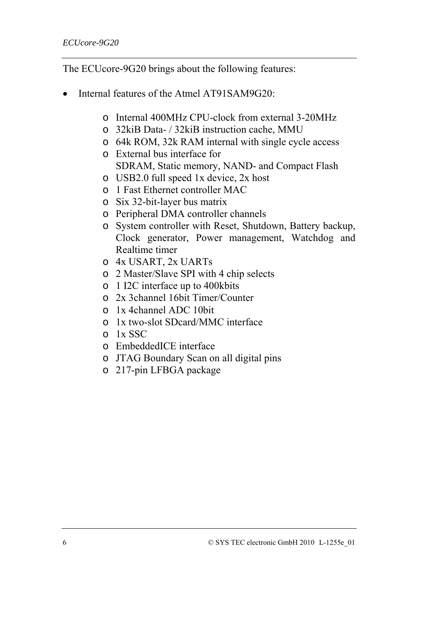The ECUcore-9G20 brings about the following features:

- Internal features of the Atmel AT91SAM9G20:
	- o Internal 400MHz CPU-clock from external 3-20MHz
	- o 32kiB Data- / 32kiB instruction cache, MMU
	- o 64k ROM, 32k RAM internal with single cycle access
	- o External bus interface for SDRAM, Static memory, NAND- and Compact Flash
	- o USB2.0 full speed 1x device, 2x host
	- o 1 Fast Ethernet controller MAC
	- o Six 32-bit-layer bus matrix
	- o Peripheral DMA controller channels
	- o System controller with Reset, Shutdown, Battery backup, Clock generator, Power management, Watchdog and Realtime timer
	- o 4x USART, 2x UARTs
	- o 2 Master/Slave SPI with 4 chip selects
	- o 1 I2C interface up to 400kbits
	- o 2x 3channel 16bit Timer/Counter
	- o 1x 4channel ADC 10bit
	- o 1x two-slot SDcard/MMC interface
	- o 1x SSC
	- o EmbeddedICE interface
	- o JTAG Boundary Scan on all digital pins
	- o 217-pin LFBGA package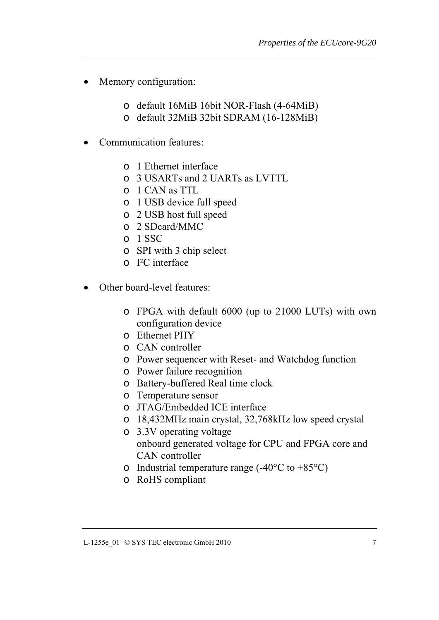- Memory configuration:
	- o default 16MiB 16bit NOR-Flash (4-64MiB)
	- o default 32MiB 32bit SDRAM (16-128MiB)
- Communication features:
	- o 1 Ethernet interface
	- o 3 USARTs and 2 UARTs as LVTTL
	- o 1 CAN as TTL
	- o 1 USB device full speed
	- o 2 USB host full speed
	- o 2 SDcard/MMC
	- o 1 SSC
	- o SPI with 3 chip select
	- o I²C interface
- Other board-level features:
	- o FPGA with default 6000 (up to 21000 LUTs) with own configuration device
	- o Ethernet PHY
	- o CAN controller
	- o Power sequencer with Reset- and Watchdog function
	- o Power failure recognition
	- o Battery-buffered Real time clock
	- o Temperature sensor
	- o JTAG/Embedded ICE interface
	- o 18,432MHz main crystal, 32,768kHz low speed crystal
	- o 3.3V operating voltage onboard generated voltage for CPU and FPGA core and CAN controller
	- o Industrial temperature range  $(-40^{\circ}C \text{ to } +85^{\circ}C)$
	- o RoHS compliant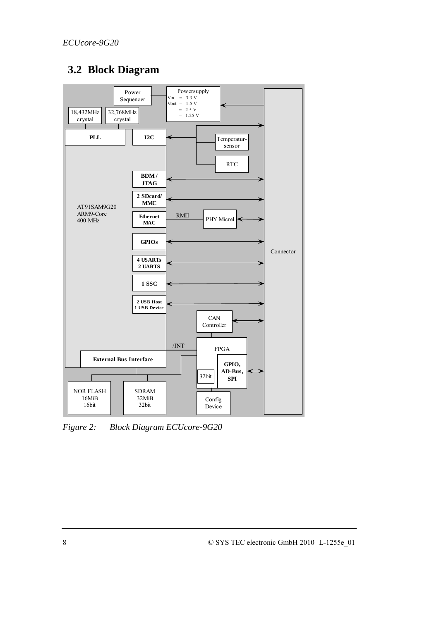# <span id="page-13-0"></span>**3.2 Block Diagram**



*Figure 2: Block Diagram ECUcore-9G20*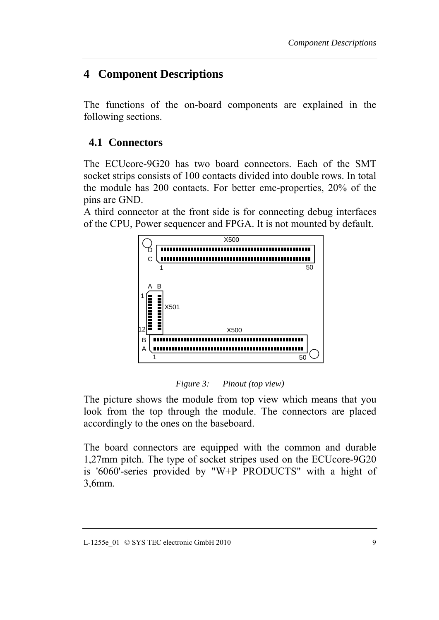# <span id="page-14-0"></span>**4 Component Descriptions**

The functions of the on-board components are explained in the following sections.

#### **4.1 Connectors**

The ECUcore-9G20 has two board connectors. Each of the SMT socket strips consists of 100 contacts divided into double rows. In total the module has 200 contacts. For better emc-properties, 20% of the pins are GND.

A third connector at the front side is for connecting debug interfaces of the CPU, Power sequencer and FPGA. It is not mounted by default.



*Figure 3: Pinout (top view)* 

The picture shows the module from top view which means that you look from the top through the module. The connectors are placed accordingly to the ones on the baseboard.

The board connectors are equipped with the common and durable 1,27mm pitch. The type of socket stripes used on the ECUcore-9G20 is '6060'-series provided by "W+P PRODUCTS" with a hight of 3,6mm.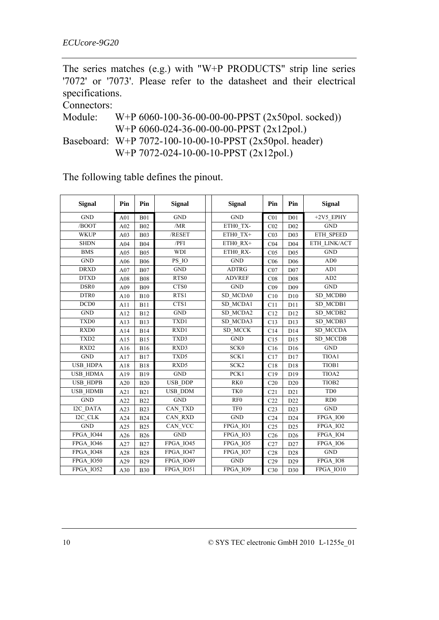The series matches (e.g.) with "W+P PRODUCTS" strip line series '7072' or '7073'. Please refer to the datasheet and their electrical specifications.

Connectors:

Module: W+P 6060-100-36-00-00-00-PPST (2x50pol. socked)) W+P 6060-024-36-00-00-00-PPST (2x12pol.) Baseboard: W+P 7072-100-10-00-10-PPST (2x50pol. header) W+P 7072-024-10-00-10-PPST (2x12pol.)

The following table defines the pinout.

| <b>Signal</b>    | Pin | Pin        | <b>Signal</b>                 |  | <b>Signal</b>    | Pin             | Pin             | <b>Signal</b>               |
|------------------|-----|------------|-------------------------------|--|------------------|-----------------|-----------------|-----------------------------|
| <b>GND</b>       | A01 | <b>B01</b> | <b>GND</b>                    |  | <b>GND</b>       | CO <sub>1</sub> | D <sub>01</sub> | +2V5 EPHY                   |
| /BOOT            | A02 | <b>B02</b> | /MR                           |  | ETHO TX-         | CO <sub>2</sub> | D02             | <b>GND</b>                  |
| <b>WKUP</b>      | A03 | <b>B03</b> | /RESET                        |  | ETH0_TX+         | CO <sub>3</sub> | D <sub>03</sub> | ETH_SPEED                   |
| <b>SHDN</b>      | A04 | <b>B04</b> | /PFI                          |  | ETH0 RX+         | C <sub>04</sub> | D <sub>04</sub> | ETH LINK/ACT                |
| <b>BMS</b>       | A05 | <b>B05</b> | <b>WDI</b>                    |  | ETH0_RX-         | CO <sub>5</sub> | D <sub>05</sub> | <b>GND</b>                  |
| GND              | A06 | <b>B06</b> | PS_IO                         |  | <b>GND</b>       | C <sub>06</sub> | D <sub>06</sub> | AD0                         |
| <b>DRXD</b>      | A07 | <b>B07</b> | <b>GND</b>                    |  | <b>ADTRG</b>     | CO7             | D07             | AD1                         |
| <b>DTXD</b>      | A08 | <b>B08</b> | RTS0                          |  | <b>ADVREF</b>    | CO8             | D <sub>08</sub> | AD2                         |
| DSR <sub>0</sub> | A09 | <b>B09</b> | CTS0                          |  | <b>GND</b>       | C <sub>09</sub> | D <sub>09</sub> | GND                         |
| DTR <sub>0</sub> | A10 | <b>B10</b> | RTS1                          |  | SD MCDA0         | C10             | D <sub>10</sub> | SD MCDB0                    |
| DCD <sub>0</sub> | A11 | <b>B11</b> | CTS1                          |  | SD MCDA1         | C11             | D11             | SD MCDB1                    |
| <b>GND</b>       | A12 | <b>B12</b> | <b>GND</b>                    |  | SD MCDA2         | C12             | D12             | SD MCDB2                    |
| TXD <sub>0</sub> | A13 | <b>B13</b> | TXD1                          |  | SD MCDA3         | C13             | D13             | SD MCDB3                    |
| RXD0             | A14 | <b>B14</b> | RXD1                          |  | SD MCCK          | C14             | D14             | SD MCCDA                    |
| TXD <sub>2</sub> | A15 | <b>B15</b> | TXD3                          |  | <b>GND</b>       | C15             | D15             | <b>SD_MCCDB</b>             |
| RXD <sub>2</sub> | A16 | <b>B16</b> | RXD3                          |  | SCK <sub>0</sub> | C16             | D <sub>16</sub> | <b>GND</b>                  |
| <b>GND</b>       | A17 | <b>B17</b> | TXD5                          |  | SCK1             | C17             | D17             | TIOA1                       |
| USB_HDPA         | A18 | <b>B18</b> | RXD5                          |  | SCK <sub>2</sub> | C18             | D18             | TIOB1                       |
| <b>USB HDMA</b>  | A19 | <b>B19</b> | $\operatorname{GND}$          |  | PCK1             | C19             | D19             | TIOA2                       |
| USB_HDPB         | A20 | <b>B20</b> | USB_DDP                       |  | RK <sub>0</sub>  | C20             | D20             | TIOB <sub>2</sub>           |
| <b>USB HDMB</b>  | A21 | <b>B21</b> | <b>USB_DDM</b>                |  | TK <sub>0</sub>  | C21             | D21             | T <sub>D</sub> <sub>0</sub> |
| <b>GND</b>       | A22 | <b>B22</b> | <b>GND</b>                    |  | RF <sub>0</sub>  | C22             | D22             | RD0                         |
| I2C DATA         | A23 | <b>B23</b> | CAN_TXD                       |  | TF <sub>0</sub>  | C <sub>23</sub> | D23             | <b>GND</b>                  |
| I2C CLK          | A24 | <b>B24</b> | CAN RXD                       |  | <b>GND</b>       | C <sub>24</sub> | D24             | FPGA_IO0                    |
| <b>GND</b>       | A25 | <b>B25</b> | CAN VCC                       |  | FPGA IO1         | C <sub>25</sub> | D25             | FPGA_IO2                    |
| FPGA IO44        | A26 | <b>B26</b> | <b>GND</b>                    |  | FPGA IO3         | C <sub>26</sub> | D <sub>26</sub> | FPGA IO4                    |
| FPGA_IO46        | A27 | <b>B27</b> | FPGA_IO45                     |  | FPGA_IO5         | C27             | D27             | FPGA_IO6                    |
| FPGA IO48        | A28 | <b>B28</b> | FPGA_IO47                     |  | FPGA IO7         | C28             | D <sub>28</sub> | <b>GND</b>                  |
| FPGA IO50        | A29 | <b>B29</b> | <b>FPGA 1049</b>              |  | <b>GND</b>       | C29             | D29             | FPGA IO8                    |
| FPGA IO52        | A30 | <b>B30</b> | $\overline{\text{FPGA}}$ IO51 |  | FPGA_IO9         | C30             | D30             | FPGA IO10                   |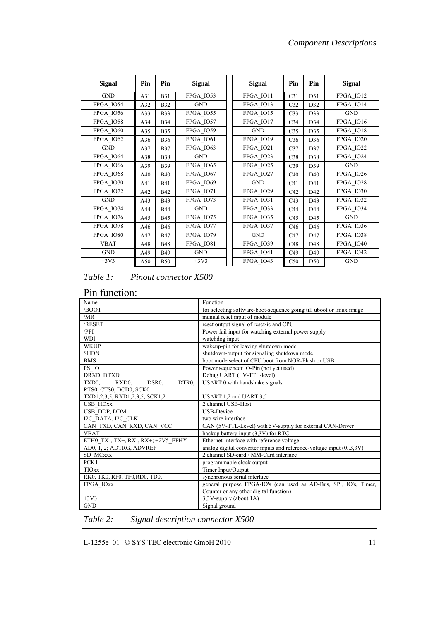<span id="page-16-0"></span>

| <b>Signal</b>    | Pin | Pin        | <b>Signal</b>    |  | <b>Signal</b>    | Pin             | Pin | <b>Signal</b>                 |
|------------------|-----|------------|------------------|--|------------------|-----------------|-----|-------------------------------|
| <b>GND</b>       | A31 | <b>B31</b> | FPGA IO53        |  | FPGA IO11        | C31             | D31 | FPGA IO12                     |
| FPGA IO54        | A32 | <b>B32</b> | <b>GND</b>       |  | FPGA IO13        | C32             | D32 | FPGA_IO14                     |
| <b>FPGA IO56</b> | A33 | <b>B33</b> | FPGA IO55        |  | FPGA IO15        | C <sub>33</sub> | D33 | <b>GND</b>                    |
| FPGA IO58        | A34 | <b>B34</b> | FPGA IO57        |  | FPGA IO17        | C <sub>34</sub> | D34 | FPGA IO16                     |
| FPGA IO60        | A35 | <b>B35</b> | <b>FPGA_IO59</b> |  | <b>GND</b>       | C <sub>35</sub> | D35 | FPGA_IO18                     |
| FPGA IO62        | A36 | <b>B36</b> | FPGA_IO61        |  | FPGA IO19        | C <sub>36</sub> | D36 | FPGA_IO20                     |
| <b>GND</b>       | A37 | <b>B37</b> | FPGA IO63        |  | FPGA IO21        | C37             | D37 | FPGA IO22                     |
| FPGA IO64        | A38 | <b>B38</b> | <b>GND</b>       |  | FPGA IO23        | C38             | D38 | FPGA IO24                     |
| FPGA IO66        | A39 | <b>B39</b> | FPGA IO65        |  | FPGA_IO25        | C39             | D39 | <b>GND</b>                    |
| FPGA IO68        | A40 | <b>B40</b> | FPGA IO67        |  | FPGA IO27        | C40             | D40 | FPGA IO26                     |
| FPGA IO70        | A41 | <b>B41</b> | <b>FPGA_IO69</b> |  | <b>GND</b>       | C <sub>41</sub> | D41 | FPGA IO28                     |
| FPGA IO72        | A42 | <b>B42</b> | FPGA IO71        |  | FPGA IO29        | C42             | D42 | FPGA IO30                     |
| <b>GND</b>       | A43 | <b>B43</b> | FPGA IO73        |  | FPGA IO31        | C <sub>43</sub> | D43 | FPGA IO32                     |
| FPGA_IO74        | A44 | <b>B44</b> | <b>GND</b>       |  | FPGA_IO33        | C44             | D44 | $\overline{\text{FPGA}}$ IO34 |
| FPGA IO76        | A45 | <b>B45</b> | FPGA IO75        |  | <b>FPGA IO35</b> | C45             | D45 | <b>GND</b>                    |
| FPGA IO78        | A46 | <b>B46</b> | FPGA IO77        |  | FPGA IO37        | C46             | D46 | <b>FPGA IO36</b>              |
| FPGA_IO80        | A47 | <b>B47</b> | <b>FPGA_IO79</b> |  | <b>GND</b>       | C47             | D47 | FPGA_IO38                     |
| <b>VBAT</b>      | A48 | <b>B48</b> | FPGA_IO81        |  | <b>FPGA IO39</b> | C48             | D48 | FPGA_IO40                     |
| <b>GND</b>       | A49 | <b>B49</b> | <b>GND</b>       |  | FPGA IO41        | C49             | D49 | FPGA IO42                     |
| $+3V3$           | A50 | <b>B50</b> | $+3V3$           |  | FPGA_IO43        | C50             | D50 | <b>GND</b>                    |

#### *Table 1: Pinout connector X500*

#### Pin function:

| Name                                                                                 | Function                                                              |  |  |  |
|--------------------------------------------------------------------------------------|-----------------------------------------------------------------------|--|--|--|
| /BOOT                                                                                | for selecting software-boot-sequence going till uboot or linux image  |  |  |  |
| /MR                                                                                  | manual reset input of module                                          |  |  |  |
| /RESET                                                                               | reset output signal of reset-ic and CPU                               |  |  |  |
| /PFI                                                                                 | Power fail input for watching external power supply                   |  |  |  |
| <b>WDI</b>                                                                           | watchdog input                                                        |  |  |  |
| <b>WKUP</b>                                                                          | wakeup-pin for leaving shutdown mode                                  |  |  |  |
| <b>SHDN</b>                                                                          | shutdown-output for signaling shutdown mode                           |  |  |  |
| <b>BMS</b>                                                                           | boot mode select of CPU boot from NOR-Flash or USB                    |  |  |  |
| PS IO                                                                                | Power sequencer IO-Pin (not yet used)                                 |  |  |  |
| DRXD, DTXD                                                                           | Debug UART (LV-TTL-level)                                             |  |  |  |
| TXD <sub>0</sub> .<br>DSR <sub>0</sub> .<br>DTR <sub>0</sub> .<br>RXD <sub>0</sub> . | USART 0 with handshake signals                                        |  |  |  |
| RTS0, CTS0, DCD0, SCK0                                                               |                                                                       |  |  |  |
| TXD1,2,3,5; RXD1,2,3,5; SCK1,2                                                       | USART 1,2 and UART 3,5                                                |  |  |  |
| <b>USB HDxx</b>                                                                      | 2 channel USB-Host                                                    |  |  |  |
| USB DDP, DDM                                                                         | <b>USB-Device</b>                                                     |  |  |  |
| I2C DATA, I2C CLK                                                                    | two wire interface                                                    |  |  |  |
| CAN TXD, CAN RXD, CAN VCC                                                            | CAN (5V-TTL-Level) with 5V-supply for external CAN-Driver             |  |  |  |
| <b>VBAT</b>                                                                          | backup battery input (3,3V) for RTC                                   |  |  |  |
| ETH0 TX-, TX+, RX-, RX+; +2V5 EPHY                                                   | Ethernet-interface with reference voltage                             |  |  |  |
| AD0, 1, 2; ADTRG, ADVREF                                                             | analog digital converter inputs and reference-voltage input $(03,3V)$ |  |  |  |
| <b>SD MCxxx</b>                                                                      | 2 channel SD-card / MM-Card interface                                 |  |  |  |
| PCK1                                                                                 | programmable clock output                                             |  |  |  |
| <b>TIOxx</b>                                                                         | Timer Input/Output                                                    |  |  |  |
| RK0, TK0, RF0, TF0, RD0, TD0,                                                        | synchronous serial interface                                          |  |  |  |
| FPGA IOxx                                                                            | general purpose FPGA-IO's (can used as AD-Bus, SPI, IO's, Timer,      |  |  |  |
|                                                                                      | Counter or any other digital function)                                |  |  |  |
| $+3V3$                                                                               | 3,3V-supply (about 1A)                                                |  |  |  |
| <b>GND</b>                                                                           | Signal ground                                                         |  |  |  |

*Table 2: Signal description connector X500* 

L-1255e\_01 © SYS TEC electronic GmbH 2010 11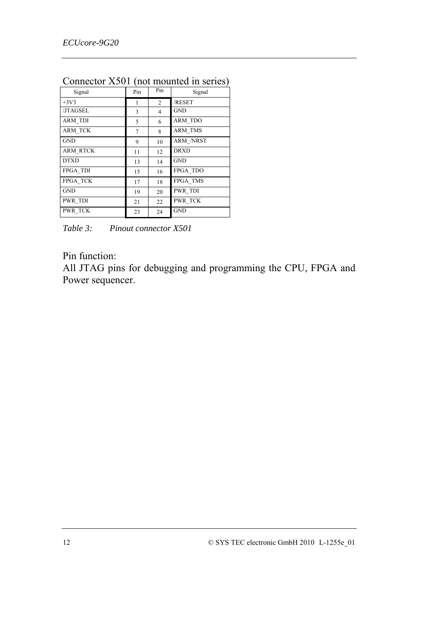|                 |     |                | - 1              |
|-----------------|-----|----------------|------------------|
| Signal          | Pin | Pin            | Signal           |
| $+3V3$          | 1   | $\overline{c}$ | /RESET           |
| /JTAGSEL        | 3   | 4              | GND              |
| <b>ARM TDI</b>  | 5   | 6              | <b>ARM TDO</b>   |
| <b>ARM TCK</b>  | 7   | 8              | <b>ARM TMS</b>   |
| <b>GND</b>      | 9   | 10             | <b>ARM /NRST</b> |
| <b>ARM RTCK</b> | 11  | 12             | <b>DRXD</b>      |
| <b>DTXD</b>     | 13  | 14             | <b>GND</b>       |
| <b>FPGA TDI</b> | 15  | 16             | FPGA TDO         |
| FPGA TCK        | 17  | 18             | FPGA_TMS         |
| <b>GND</b>      | 19  | 20             | PWR TDI          |
| PWR TDI         | 21  | 22             | PWR TCK          |
| <b>PWR TCK</b>  | 23  | 24             | <b>GND</b>       |
|                 |     |                |                  |

<span id="page-17-0"></span>Connector X501 (not mounted in series)

*Table 3: Pinout connector X501* 

#### Pin function:

All JTAG pins for debugging and programming the CPU, FPGA and Power sequencer.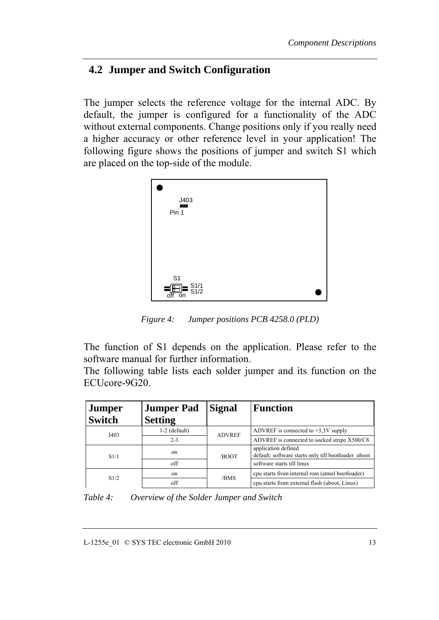#### <span id="page-18-0"></span>**4.2 Jumper and Switch Configuration**

The jumper selects the reference voltage for the internal ADC. By default, the jumper is configured for a functionality of the ADC without external components. Change positions only if you really need a higher accuracy or other reference level in your application! The following figure shows the positions of jumper and switch S1 which are placed on the top-side of the module.



*Figure 4: Jumper positions PCB 4258.0 (PLD)* 

The function of S1 depends on the application. Please refer to the software manual for further information.

The following table lists each solder jumper and its function on the ECUcore-9G20.

| <b>Jumper</b> | <b>Jumper Pad</b> | <b>Signal</b> | <b>Function</b>                                                            |
|---------------|-------------------|---------------|----------------------------------------------------------------------------|
| <b>Switch</b> | <b>Setting</b>    |               |                                                                            |
| J403          | $1-2$ (default)   | <b>ADVREF</b> | ADVREF is connected to $+3.3V$ supply                                      |
|               | $2 - 3$           |               | ADVREF is connected to socked stripe X500/C8                               |
| S1/1          | on                | /BOOT         | application defined<br>default: software starts only till bootloader uboot |
|               | off               |               | software starts till linux                                                 |
|               | on                | /BMS          | cpu starts from internal rom (atmel bootloader)                            |
| S1/2          | off               |               | cpu starts from external flash (uboot, Linux)                              |

*Table 4: Overview of the Solder Jumper and Switch*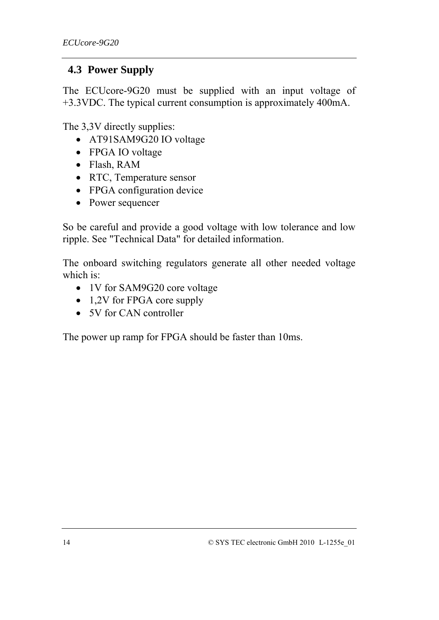#### <span id="page-19-0"></span>**4.3 Power Supply**

The ECUcore-9G20 must be supplied with an input voltage of +3.3VDC. The typical current consumption is approximately 400mA.

The 3,3V directly supplies:

- AT91SAM9G20 IO voltage
- FPGA IO voltage
- Flash, RAM
- RTC, Temperature sensor
- FPGA configuration device
- Power sequencer

So be careful and provide a good voltage with low tolerance and low ripple. See "Technical Data" for detailed information.

The onboard switching regulators generate all other needed voltage which is:

- 1V for SAM9G20 core voltage
- 1,2V for FPGA core supply
- 5V for CAN controller

The power up ramp for FPGA should be faster than 10ms.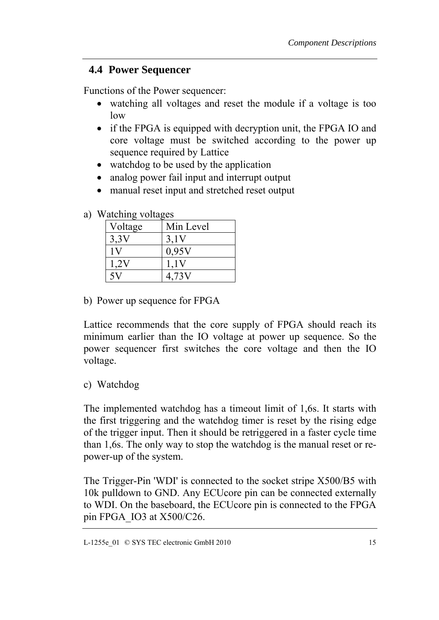#### <span id="page-20-0"></span>**4.4 Power Sequencer**

Functions of the Power sequencer:

- watching all voltages and reset the module if a voltage is too low
- if the FPGA is equipped with decryption unit, the FPGA IO and core voltage must be switched according to the power up sequence required by Lattice
- watchdog to be used by the application
- analog power fail input and interrupt output
- manual reset input and stretched reset output

| $\mathbf{v}$ atoming $\mathbf{v}$ or $\mathbf{u}$ |           |  |  |  |  |  |
|---------------------------------------------------|-----------|--|--|--|--|--|
| Voltage                                           | Min Level |  |  |  |  |  |
| 3.3V                                              | 3.1V      |  |  |  |  |  |
|                                                   | 0,95V     |  |  |  |  |  |
| 1.2v                                              | 1,1V      |  |  |  |  |  |
|                                                   | 4,73V     |  |  |  |  |  |

a) Watching voltages

b) Power up sequence for FPGA

Lattice recommends that the core supply of FPGA should reach its minimum earlier than the IO voltage at power up sequence. So the power sequencer first switches the core voltage and then the IO voltage.

c) Watchdog

The implemented watchdog has a timeout limit of 1,6s. It starts with the first triggering and the watchdog timer is reset by the rising edge of the trigger input. Then it should be retriggered in a faster cycle time than 1,6s. The only way to stop the watchdog is the manual reset or repower-up of the system.

The Trigger-Pin 'WDI' is connected to the socket stripe X500/B5 with 10k pulldown to GND. Any ECUcore pin can be connected externally to WDI. On the baseboard, the ECUcore pin is connected to the FPGA pin FPGA\_IO3 at X500/C26.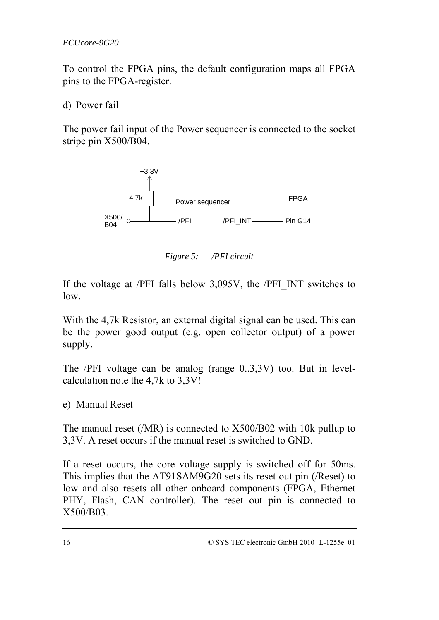<span id="page-21-0"></span>To control the FPGA pins, the default configuration maps all FPGA pins to the FPGA-register.

d) Power fail

The power fail input of the Power sequencer is connected to the socket stripe pin X500/B04.



*Figure 5: /PFI circuit* 

If the voltage at /PFI falls below 3,095V, the /PFI\_INT switches to low.

With the 4,7k Resistor, an external digital signal can be used. This can be the power good output (e.g. open collector output) of a power supply.

The /PFI voltage can be analog (range 0..3,3V) too. But in levelcalculation note the 4,7k to 3,3V!

e) Manual Reset

The manual reset (/MR) is connected to X500/B02 with 10k pullup to 3,3V. A reset occurs if the manual reset is switched to GND.

If a reset occurs, the core voltage supply is switched off for 50ms. This implies that the AT91SAM9G20 sets its reset out pin (/Reset) to low and also resets all other onboard components (FPGA, Ethernet PHY, Flash, CAN controller). The reset out pin is connected to X500/B03.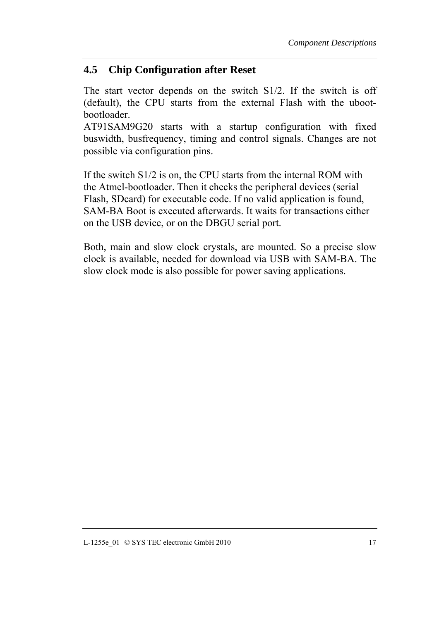#### <span id="page-22-0"></span>**4.5 Chip Configuration after Reset**

The start vector depends on the switch S1/2. If the switch is off (default), the CPU starts from the external Flash with the ubootbootloader.

AT91SAM9G20 starts with a startup configuration with fixed buswidth, busfrequency, timing and control signals. Changes are not possible via configuration pins.

If the switch S1/2 is on, the CPU starts from the internal ROM with the Atmel-bootloader. Then it checks the peripheral devices (serial Flash, SDcard) for executable code. If no valid application is found, SAM-BA Boot is executed afterwards. It waits for transactions either on the USB device, or on the DBGU serial port.

Both, main and slow clock crystals, are mounted. So a precise slow clock is available, needed for download via USB with SAM-BA. The slow clock mode is also possible for power saving applications.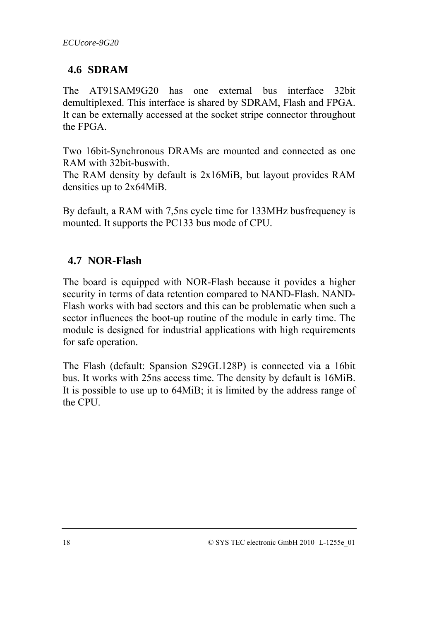#### <span id="page-23-0"></span>**4.6 SDRAM**

The AT91SAM9G20 has one external bus interface 32bit demultiplexed. This interface is shared by SDRAM, Flash and FPGA. It can be externally accessed at the socket stripe connector throughout the FPGA.

Two 16bit-Synchronous DRAMs are mounted and connected as one RAM with 32bit-buswith.

The RAM density by default is 2x16MiB, but layout provides RAM densities up to 2x64MiB.

By default, a RAM with 7,5ns cycle time for 133MHz busfrequency is mounted. It supports the PC133 bus mode of CPU.

# **4.7 NOR-Flash**

The board is equipped with NOR-Flash because it povides a higher security in terms of data retention compared to NAND-Flash. NAND-Flash works with bad sectors and this can be problematic when such a sector influences the boot-up routine of the module in early time. The module is designed for industrial applications with high requirements for safe operation.

The Flash (default: Spansion S29GL128P) is connected via a 16bit bus. It works with 25ns access time. The density by default is 16MiB. It is possible to use up to 64MiB; it is limited by the address range of the CPU.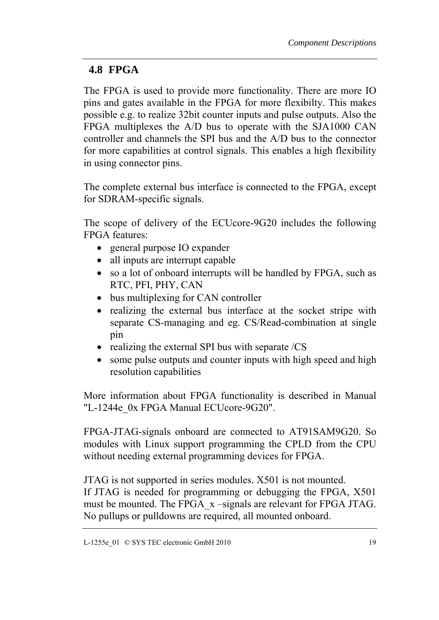#### <span id="page-24-0"></span>**4.8 FPGA**

The FPGA is used to provide more functionality. There are more IO pins and gates available in the FPGA for more flexibilty. This makes possible e.g. to realize 32bit counter inputs and pulse outputs. Also the FPGA multiplexes the A/D bus to operate with the SJA1000 CAN controller and channels the SPI bus and the A/D bus to the connector for more capabilities at control signals. This enables a high flexibility in using connector pins.

The complete external bus interface is connected to the FPGA, except for SDRAM-specific signals.

The scope of delivery of the ECUcore-9G20 includes the following FPGA features:

- general purpose IO expander
- all inputs are interrupt capable
- so a lot of onboard interrupts will be handled by FPGA, such as RTC, PFI, PHY, CAN
- bus multiplexing for CAN controller
- realizing the external bus interface at the socket stripe with separate CS-managing and eg. CS/Read-combination at single pin
- realizing the external SPI bus with separate /CS
- some pulse outputs and counter inputs with high speed and high resolution capabilities

More information about FPGA functionality is described in Manual "L-1244e 0x FPGA Manual ECUcore-9G20".

FPGA-JTAG-signals onboard are connected to AT91SAM9G20. So modules with Linux support programming the CPLD from the CPU without needing external programming devices for FPGA.

JTAG is not supported in series modules. X501 is not mounted. If JTAG is needed for programming or debugging the FPGA, X501 must be mounted. The FPGA\_x –signals are relevant for FPGA JTAG. No pullups or pulldowns are required, all mounted onboard.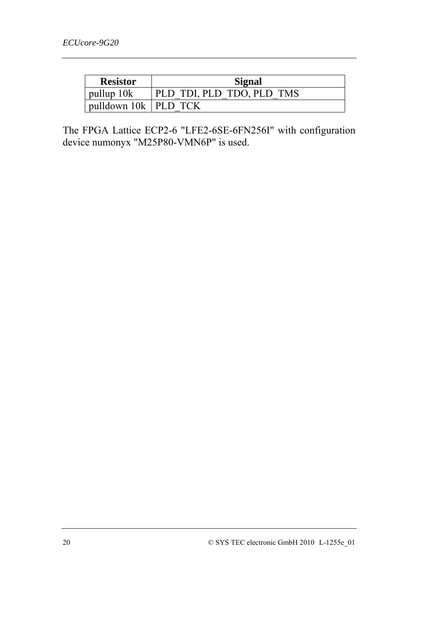| <b>Resistor</b>        | Signal                    |
|------------------------|---------------------------|
| pullup 10k             | PLD TDI, PLD TDO, PLD TMS |
| pulldown 10k   PLD TCK |                           |

The FPGA Lattice ECP2-6 "LFE2-6SE-6FN256I" with configuration device numonyx "M25P80-VMN6P" is used.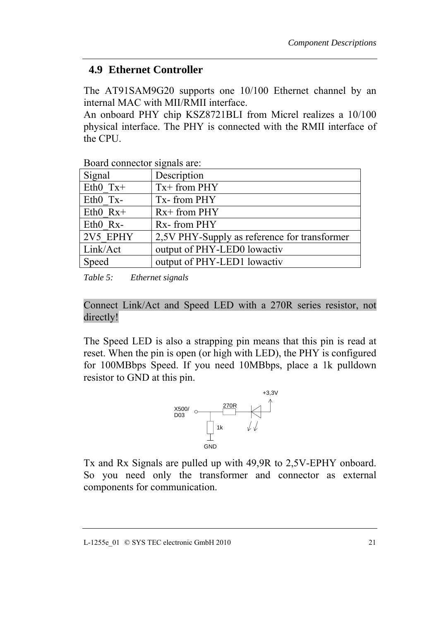### <span id="page-26-0"></span>**4.9 Ethernet Controller**

The AT91SAM9G20 supports one 10/100 Ethernet channel by an internal MAC with MII/RMII interface.

An onboard PHY chip KSZ8721BLI from Micrel realizes a 10/100 physical interface. The PHY is connected with the RMII interface of the CPU.

| Signal      | Description                                  |
|-------------|----------------------------------------------|
| Eth $0$ Tx+ | $Tx+$ from PHY                               |
| Eth0 Tx-    | Tx-from PHY                                  |
| Eth $0$ Rx+ | $Rx+$ from $PHY$                             |
| Eth0 Rx-    | Rx-from PHY                                  |
| 2V5 EPHY    | 2,5V PHY-Supply as reference for transformer |
| Link/Act    | output of PHY-LED0 lowactiv                  |
| Speed       | output of PHY-LED1 lowactiv                  |

Board connector signals are:

*Table 5: Ethernet signals* 

Connect Link/Act and Speed LED with a 270R series resistor, not directly!

The Speed LED is also a strapping pin means that this pin is read at reset. When the pin is open (or high with LED), the PHY is configured for 100MBbps Speed. If you need 10MBbps, place a 1k pulldown resistor to GND at this pin.



Tx and Rx Signals are pulled up with 49,9R to 2,5V-EPHY onboard. So you need only the transformer and connector as external components for communication.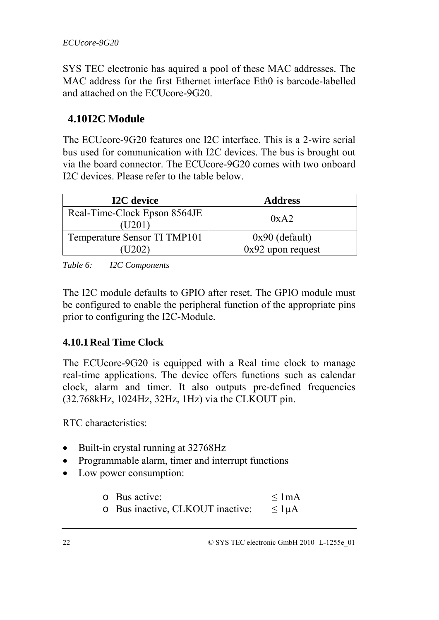<span id="page-27-0"></span>SYS TEC electronic has aquired a pool of these MAC addresses. The MAC address for the first Ethernet interface Eth0 is barcode-labelled and attached on the ECUcore-9G20.

#### **4.10I2C Module**

The ECUcore-9G20 features one I2C interface. This is a 2-wire serial bus used for communication with I2C devices. The bus is brought out via the board connector. The ECUcore-9G20 comes with two onboard I2C devices. Please refer to the table below.

| <b>I2C</b> device                      | <b>Address</b>      |
|----------------------------------------|---------------------|
| Real-Time-Clock Epson 8564JE<br>(U201) | 0xA2                |
| Temperature Sensor TI TMP101           | $0x90$ (default)    |
| U202                                   | $0x92$ upon request |

*Table 6: I2C Components* 

The I2C module defaults to GPIO after reset. The GPIO module must be configured to enable the peripheral function of the appropriate pins prior to configuring the I2C-Module.

#### **4.10.1Real Time Clock**

The ECUcore-9G20 is equipped with a Real time clock to manage real-time applications. The device offers functions such as calendar clock, alarm and timer. It also outputs pre-defined frequencies (32.768kHz, 1024Hz, 32Hz, 1Hz) via the CLKOUT pin.

RTC characteristics:

- Built-in crystal running at 32768Hz
- Programmable alarm, timer and interrupt functions
- Low power consumption:

| $\circ$ Bus active:              | $\leq$ 1 mA    |
|----------------------------------|----------------|
| o Bus inactive, CLKOUT inactive: | $\leq 1 \mu A$ |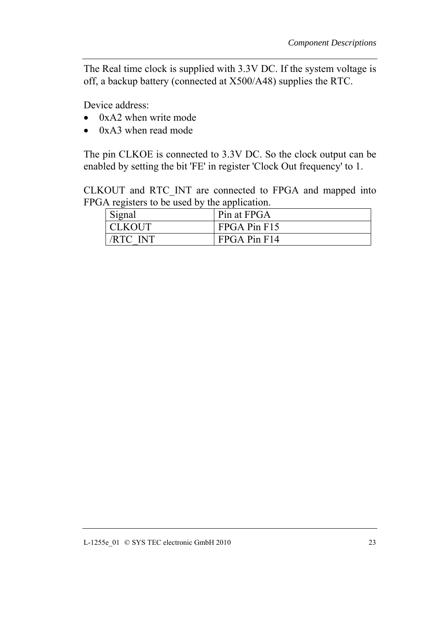The Real time clock is supplied with 3.3V DC. If the system voltage is off, a backup battery (connected at X500/A48) supplies the RTC.

Device address:

- 0xA2 when write mode
- 0xA3 when read mode

The pin CLKOE is connected to 3.3V DC. So the clock output can be enabled by setting the bit 'FE' in register 'Clock Out frequency' to 1.

CLKOUT and RTC\_INT are connected to FPGA and mapped into FPGA registers to be used by the application.

| Signal          | Pin at FPGA  |
|-----------------|--------------|
| <b>CLKOUT</b>   | FPGA Pin F15 |
| <b>/RTC INT</b> | FPGA Pin F14 |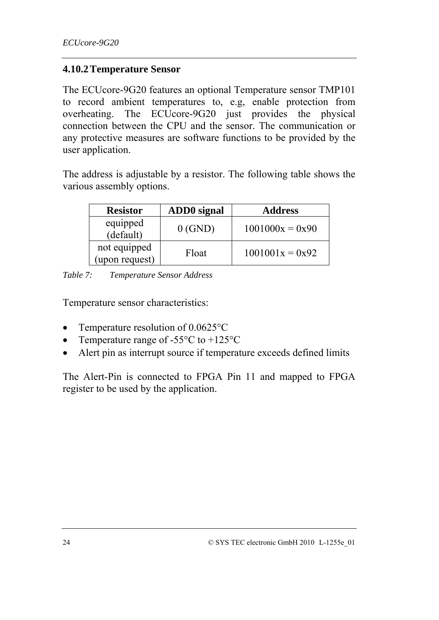#### <span id="page-29-0"></span>**4.10.2Temperature Sensor**

The ECUcore-9G20 features an optional Temperature sensor TMP101 to record ambient temperatures to, e.g, enable protection from overheating. The ECUcore-9G20 just provides the physical connection between the CPU and the sensor. The communication or any protective measures are software functions to be provided by the user application.

The address is adjustable by a resistor. The following table shows the various assembly options.

| <b>Resistor</b>                | ADD0 signal | <b>Address</b>    |
|--------------------------------|-------------|-------------------|
| equipped<br>(default)          | $0$ (GND)   | $1001000x = 0x90$ |
| not equipped<br>(upon request) | Float       | $1001001x = 0x92$ |

*Table 7: Temperature Sensor Address* 

Temperature sensor characteristics:

- Temperature resolution of 0.0625°C
- Temperature range of  $-55^{\circ}$ C to  $+125^{\circ}$ C
- Alert pin as interrupt source if temperature exceeds defined limits

The Alert-Pin is connected to FPGA Pin 11 and mapped to FPGA register to be used by the application.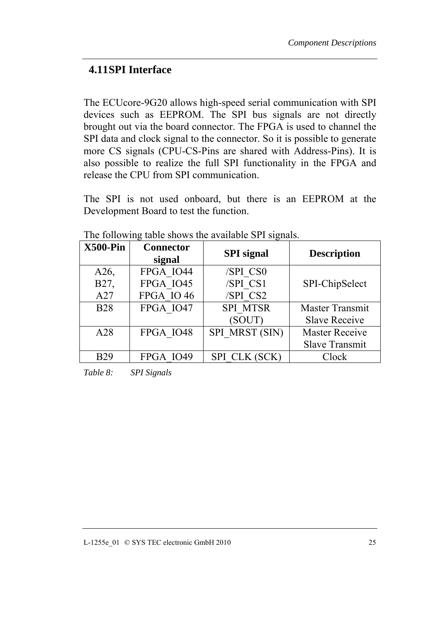#### <span id="page-30-0"></span>**4.11SPI Interface**

The ECUcore-9G20 allows high-speed serial communication with SPI devices such as EEPROM. The SPI bus signals are not directly brought out via the board connector. The FPGA is used to channel the SPI data and clock signal to the connector. So it is possible to generate more CS signals (CPU-CS-Pins are shared with Address-Pins). It is also possible to realize the full SPI functionality in the FPGA and release the CPU from SPI communication.

The SPI is not used onboard, but there is an EEPROM at the Development Board to test the function.

| $X500-Pin$      | <b>Connector</b><br>signal | <b>SPI</b> signal | <b>Description</b>    |
|-----------------|----------------------------|-------------------|-----------------------|
| A26,            | FPGA IO44                  | /SPI CS0          |                       |
| B27,            | FPGA IO45                  | /SPI CS1          | SPI-ChipSelect        |
| A27             | FPGA IO 46                 | /SPI CS2          |                       |
| <b>B28</b>      | FPGA IO47                  | SPI MTSR          | Master Transmit       |
|                 |                            | (SOUT)            | <b>Slave Receive</b>  |
| A28             | FPGA IO48                  | SPI MRST (SIN)    | <b>Master Receive</b> |
|                 |                            |                   | <b>Slave Transmit</b> |
| R <sub>29</sub> | <b>FPGA IO49</b>           | SPI CLK (SCK)     | Clock                 |

The following table shows the available SPI signals.

*Table 8: SPI Signals*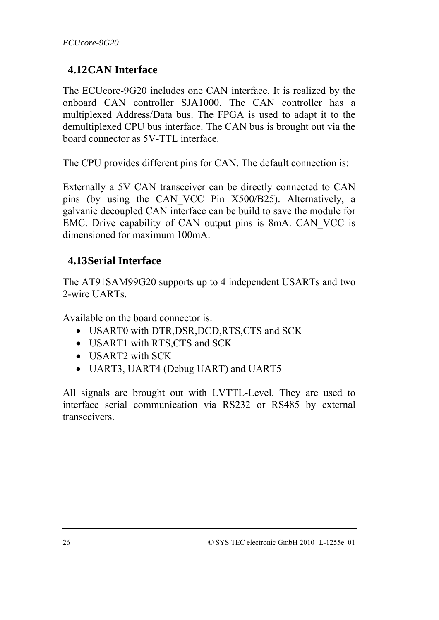#### <span id="page-31-0"></span>**4.12CAN Interface**

The ECUcore-9G20 includes one CAN interface. It is realized by the onboard CAN controller SJA1000. The CAN controller has a multiplexed Address/Data bus. The FPGA is used to adapt it to the demultiplexed CPU bus interface. The CAN bus is brought out via the board connector as 5V-TTL interface.

The CPU provides different pins for CAN. The default connection is:

Externally a 5V CAN transceiver can be directly connected to CAN pins (by using the CAN\_VCC Pin X500/B25). Alternatively, a galvanic decoupled CAN interface can be build to save the module for EMC. Drive capability of CAN output pins is 8mA. CAN\_VCC is dimensioned for maximum 100mA.

### **4.13Serial Interface**

The AT91SAM99G20 supports up to 4 independent USARTs and two 2-wire UARTs.

Available on the board connector is:

- USART0 with DTR,DSR,DCD,RTS,CTS and SCK
- USART1 with RTS,CTS and SCK
- USART2 with SCK
- UART3, UART4 (Debug UART) and UART5

All signals are brought out with LVTTL-Level. They are used to interface serial communication via RS232 or RS485 by external transceivers.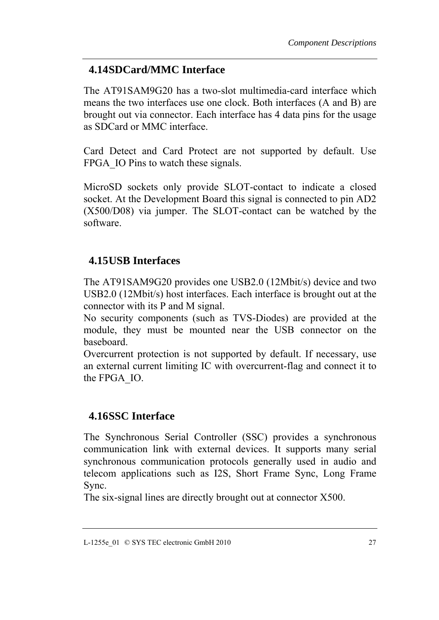#### <span id="page-32-0"></span>**4.14SDCard/MMC Interface**

The AT91SAM9G20 has a two-slot multimedia-card interface which means the two interfaces use one clock. Both interfaces (A and B) are brought out via connector. Each interface has 4 data pins for the usage as SDCard or MMC interface.

Card Detect and Card Protect are not supported by default. Use FPGA IO Pins to watch these signals.

MicroSD sockets only provide SLOT-contact to indicate a closed socket. At the Development Board this signal is connected to pin AD2 (X500/D08) via jumper. The SLOT-contact can be watched by the software.

### **4.15USB Interfaces**

The AT91SAM9G20 provides one USB2.0 (12Mbit/s) device and two USB2.0 (12Mbit/s) host interfaces. Each interface is brought out at the connector with its P and M signal.

No security components (such as TVS-Diodes) are provided at the module, they must be mounted near the USB connector on the baseboard.

Overcurrent protection is not supported by default. If necessary, use an external current limiting IC with overcurrent-flag and connect it to the FPGA\_IO.

#### **4.16SSC Interface**

The Synchronous Serial Controller (SSC) provides a synchronous communication link with external devices. It supports many serial synchronous communication protocols generally used in audio and telecom applications such as I2S, Short Frame Sync, Long Frame Sync.

The six-signal lines are directly brought out at connector X500.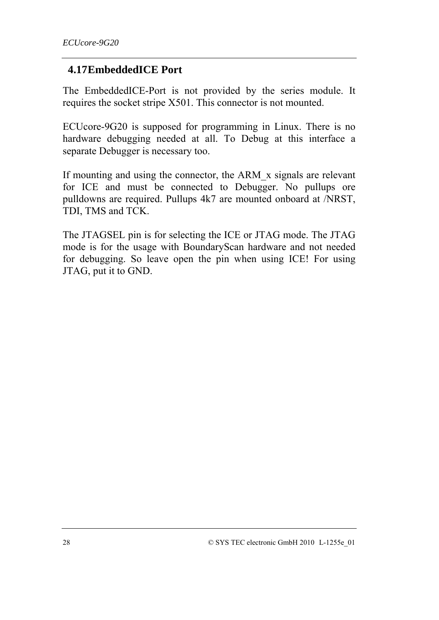#### <span id="page-33-0"></span>**4.17EmbeddedICE Port**

The EmbeddedICE-Port is not provided by the series module. It requires the socket stripe X501. This connector is not mounted.

ECUcore-9G20 is supposed for programming in Linux. There is no hardware debugging needed at all. To Debug at this interface a separate Debugger is necessary too.

If mounting and using the connector, the ARM\_x signals are relevant for ICE and must be connected to Debugger. No pullups ore pulldowns are required. Pullups 4k7 are mounted onboard at /NRST, TDI, TMS and TCK.

The JTAGSEL pin is for selecting the ICE or JTAG mode. The JTAG mode is for the usage with BoundaryScan hardware and not needed for debugging. So leave open the pin when using ICE! For using JTAG, put it to GND.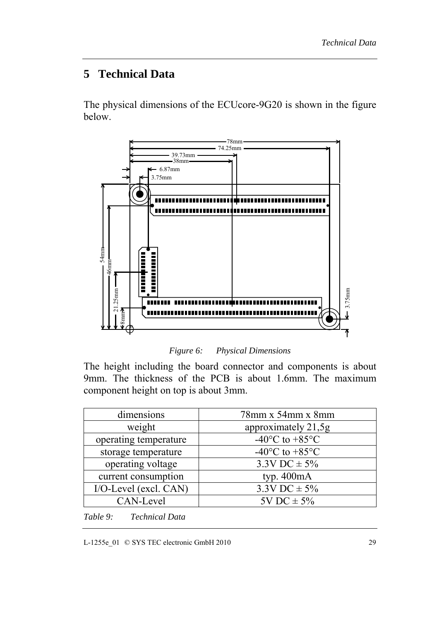# <span id="page-34-0"></span>**5 Technical Data**

The physical dimensions of the ECUcore-9G20 is shown in the figure below.



*Figure 6: Physical Dimensions* 

The height including the board connector and components is about 9mm. The thickness of the PCB is about 1.6mm. The maximum component height on top is about 3mm.

| dimensions            | $78$ mm x 54mm x 8mm                         |
|-----------------------|----------------------------------------------|
| weight                | approximately 21,5g                          |
| operating temperature | -40 $\rm{^{\circ}C}$ to +85 $\rm{^{\circ}C}$ |
| storage temperature   | -40 $\rm{^{\circ}C}$ to +85 $\rm{^{\circ}C}$ |
| operating voltage     | $3.3V$ DC $\pm$ 5%                           |
| current consumption   | typ. $400mA$                                 |
| I/O-Level (excl. CAN) | $3.3V$ DC $\pm$ 5%                           |
| CAN-Level             | $5V$ DC $\pm$ 5%                             |

*Table 9: Technical Data* 

L-1255e\_01 © SYS TEC electronic GmbH 2010 29